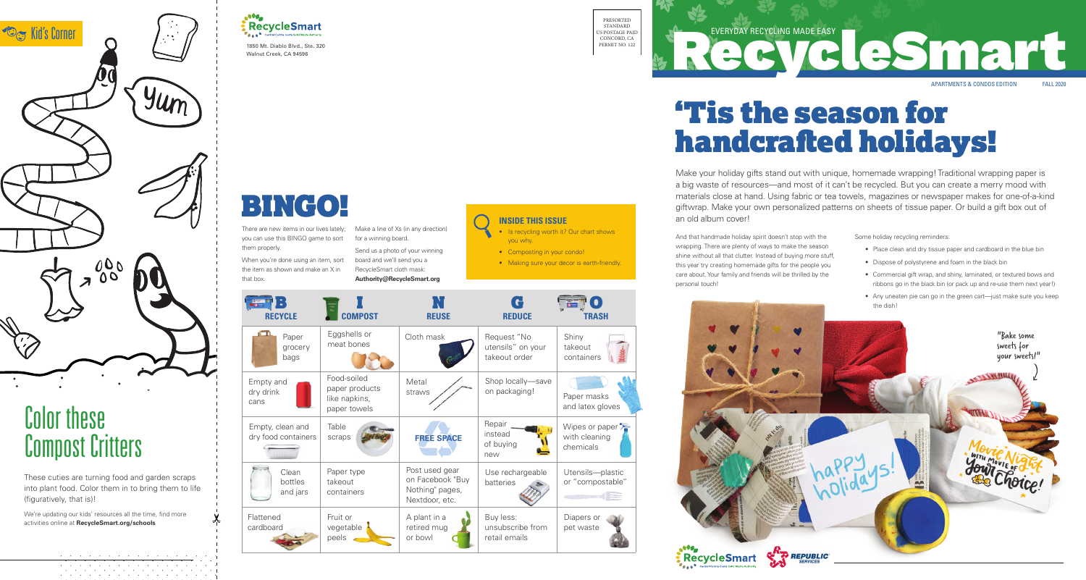1850 Mt. Diablo Blvd., Ste. 320 Walnut Creek, CA 94596



# Color these Compost Critters

These cuties are turning food and garden scraps into plant food. Color them in to bring them to life (figuratively, that is)!

We're updating our kids' resources all the time, find more activities online at **RecycleSmart.org/schools**

> $\mathcal{A}$  . The contribution of the contribution of the contribution of  $\mathcal{A}$ . The contribution of the contribution of the contribution of  $\mathcal{A}$ the contract of the contract of the contract of the contract of



# 'Tis the season for handcrafted holidays!

### **INSIDE THIS ISSUE**

- Is recycling worth it? Our chart shows you why.
- Composting in your condo!
- Making sure your decor is earth-friendly.







There are new items in our lives lately; you can use this BINGO game to sort them properly.

| <b>RECYCLE</b>                          | <b>COMPOST</b>                                                 | <b>REUSE</b>                                                            | $\bullet$<br><b>REDUCE</b>                        | <b>TRASH</b>                               |
|-----------------------------------------|----------------------------------------------------------------|-------------------------------------------------------------------------|---------------------------------------------------|--------------------------------------------|
| Paper<br>grocery<br>bags                | Eggshells or<br>meat bones                                     | Cloth mask                                                              | Request "No<br>utensils" on your<br>takeout order | Shiny<br>takeout<br>containers             |
| Empty and<br>dry drink<br>cans          | Food-soiled<br>paper products<br>like napkins,<br>paper towels | Metal<br>straws                                                         | Shop locally-save<br>on packaging!                | Paper masks<br>and latex glo               |
| Empty, clean and<br>dry food containers | Table<br>scraps                                                | <b>FREE SPACE</b>                                                       | Repair<br>instead<br>of buying<br>new             | Wipes or pap<br>with cleaning<br>chemicals |
| Clean<br>bottles<br>and jars            | Paper type<br>takeout<br>containers                            | Post used gear<br>on Facebook "Buy<br>Nothing" pages,<br>Nextdoor, etc. | Use rechargeable<br>batteries                     | Utensils-pla<br>or "compost                |
| Flattened<br>cardboard                  | Fruit or<br>vegetable<br>peels                                 | A plant in a<br>retired mug<br>or bowl                                  | Buy less:<br>unsubscribe from<br>retail emails    | Diapers or<br>pet waste                    |

When you're done using an item, sort the item as shown and make an X in that box.

Make a line of Xs (in any direction) for a winning board.

Send us a photo of your winning board and we'll send you a RecycleSmart cloth mask: **Authority@RecycleSmart.org**

# BINGO!

Make your holiday gifts stand out with unique, homemade wrapping! Traditional wrapping paper is a big waste of resources—and most of it can't be recycled. But you can create a merry mood with materials close at hand. Using fabric or tea towels, magazines or newspaper makes for one-of-a-kind giftwrap. Make your own personalized patterns on sheets of tissue paper. Or build a gift box out of an old album cover!

Some holiday recycling reminders:

- Place clean and dry tissue paper and cardboard in the blue bin
- Dispose of polystyrene and foam in the black bin
- Commercial gift wrap, and shiny, laminated, or textured bows and ribbons go in the black bin (or pack up and re-use them next year!)
- Any uneaten pie can go in the green cart—just make sure you keep the dish!

And that handmade holiday spirit doesn't stop with the wrapping. There are plenty of ways to make the season shine without all that clutter. Instead of buying more stuff, this year try creating homemade gifts for the people you care about. Your family and friends will be thrilled by the personal touch!



plastic 'stable

 $\left( =\right)$ 



EVERYDAY RECYCLING MADE EASY<br>
CONTRACT CONDICIONAL CONDICIONAL CONDICIONAL CONDICIONAL CONDICIONAL CONDICIONAL CONDICIONAL CONDICIONAL CONDICIONAL CONDICIONAL CONDICIONAL CONDICIONAL CONDICIONAL CONDICIONAL CONDICIONAL CON APARTMENTS & CONDOS EDITION